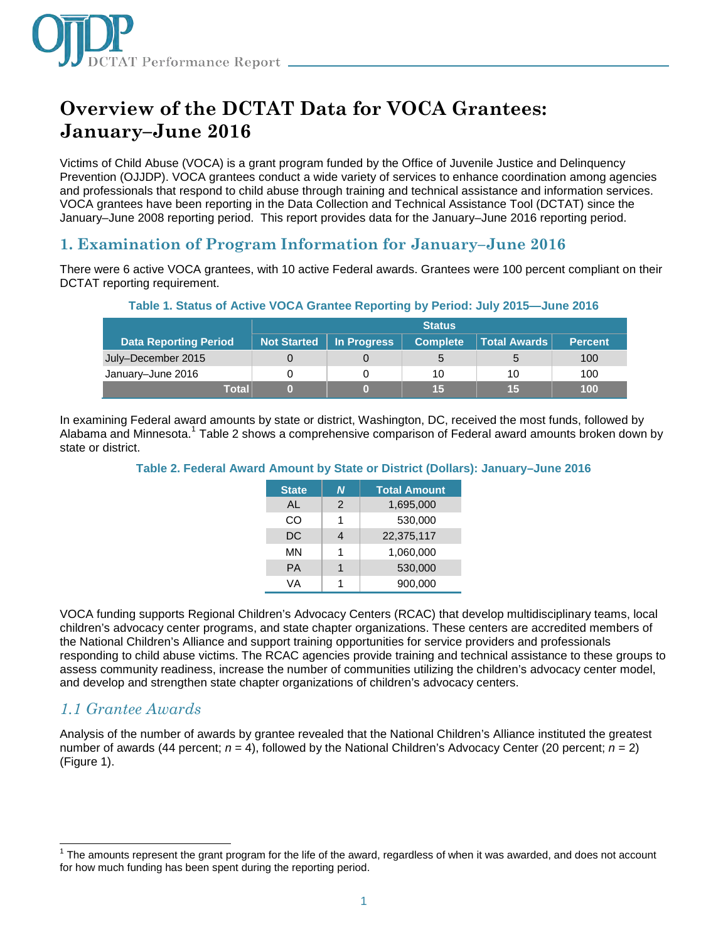

# **Overview of the DCTAT Data for VOCA Grantees: January–June 2016**

Victims of Child Abuse (VOCA) is a grant program funded by the Office of Juvenile Justice and Delinquency Prevention (OJJDP). VOCA grantees conduct a wide variety of services to enhance coordination among agencies and professionals that respond to child abuse through training and technical assistance and information services. VOCA grantees have been reporting in the Data Collection and Technical Assistance Tool (DCTAT) since the January–June 2008 reporting period. This report provides data for the January–June 2016 reporting period.

# **1. Examination of Program Information for January–June 2016**

There were 6 active VOCA grantees, with 10 active Federal awards. Grantees were 100 percent compliant on their DCTAT reporting requirement.

| $\sim$ 0.000 $\sim$ 0.000 $\sim$ 0.000 $\sim$ 0.000 $\sim$ 0.000 $\sim$ 0.000 $\sim$ 0.000 $\sim$ 0.000 $\sim$ 0.000 $\sim$ 0.000 $\sim$ 0.000 $\sim$ 0.000 $\sim$ 0.000 $\sim$ 0.000 $\sim$ 0.000 $\sim$ 0.000 $\sim$ 0.000 $\sim$ 0.000 $\sim$ 0.000 $\sim$ 0.000 0 |                    |             |                 |                     |                |  |  |
|-----------------------------------------------------------------------------------------------------------------------------------------------------------------------------------------------------------------------------------------------------------------------|--------------------|-------------|-----------------|---------------------|----------------|--|--|
|                                                                                                                                                                                                                                                                       | <b>Status</b>      |             |                 |                     |                |  |  |
| <b>Data Reporting Period</b>                                                                                                                                                                                                                                          | <b>Not Started</b> | In Progress | <b>Complete</b> | <b>Total Awards</b> | <b>Percent</b> |  |  |
| July-December 2015                                                                                                                                                                                                                                                    |                    |             | 5               |                     | 100            |  |  |
| January-June 2016                                                                                                                                                                                                                                                     |                    |             | 10              | 10                  | 100            |  |  |
| <b>Total</b>                                                                                                                                                                                                                                                          | 0)                 |             | 15              | 15                  | 100            |  |  |

### **Table 1. Status of Active VOCA Grantee Reporting by Period: July 2015—June 2016**

In examining Federal award amounts by state or district, Washington, DC, received the most funds, followed by Alabama and Minnesota.<sup>1</sup> Table 2 shows a comprehensive comparison of Federal award amounts broken down by state or district.

#### **Table 2. Federal Award Amount by State or District (Dollars): January–June 2016**

| <b>State</b> | N             | <b>Total Amount</b> |
|--------------|---------------|---------------------|
| AI           | $\mathcal{P}$ | 1,695,000           |
| CO           | 1             | 530,000             |
| DC           | 4             | 22,375,117          |
| MN           | 1             | 1,060,000           |
| <b>PA</b>    | 1             | 530,000             |
| VA           |               | 900,000             |

VOCA funding supports Regional Children's Advocacy Centers (RCAC) that develop multidisciplinary teams, local children's advocacy center programs, and state chapter organizations. These centers are accredited members of the National Children's Alliance and support training opportunities for service providers and professionals responding to child abuse victims. The RCAC agencies provide training and technical assistance to these groups to assess community readiness, increase the number of communities utilizing the children's advocacy center model, and develop and strengthen state chapter organizations of children's advocacy centers.

## *1.1 Grantee Awards*

Analysis of the number of awards by grantee revealed that the National Children's Alliance instituted the greatest number of awards (44 percent; *n* = 4), followed by the National Children's Advocacy Center (20 percent; *n* = 2) (Figure 1).

j <sup>1</sup> The amounts represent the grant program for the life of the award, regardless of when it was awarded, and does not account for how much funding has been spent during the reporting period.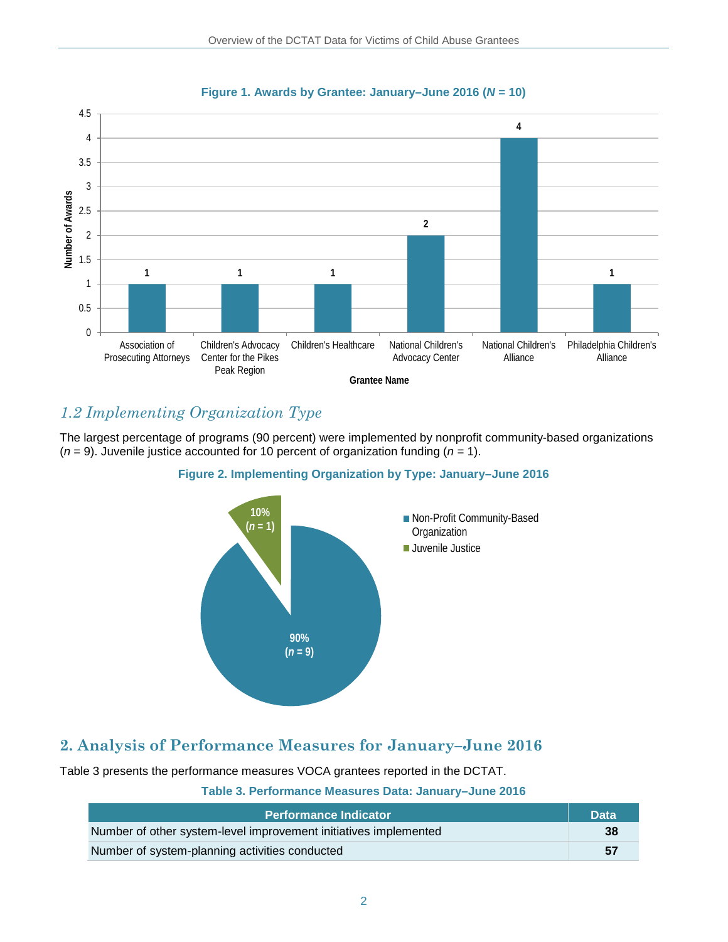

### **Figure 1. Awards by Grantee: January–June 2016 (***N* **= 10)**

# *1.2 Implementing Organization Type*

The largest percentage of programs (90 percent) were implemented by nonprofit community-based organizations  $(n = 9)$ . Juvenile justice accounted for 10 percent of organization funding  $(n = 1)$ .

### **Figure 2. Implementing Organization by Type: January–June 2016**



# **2. Analysis of Performance Measures for January–June 2016**

Table 3 presents the performance measures VOCA grantees reported in the DCTAT.

### **Table 3. Performance Measures Data: January–June 2016**

| <b>Performance Indicator</b>                                     | <b>Data</b> |
|------------------------------------------------------------------|-------------|
| Number of other system-level improvement initiatives implemented | -38         |
| Number of system-planning activities conducted                   | - 57        |